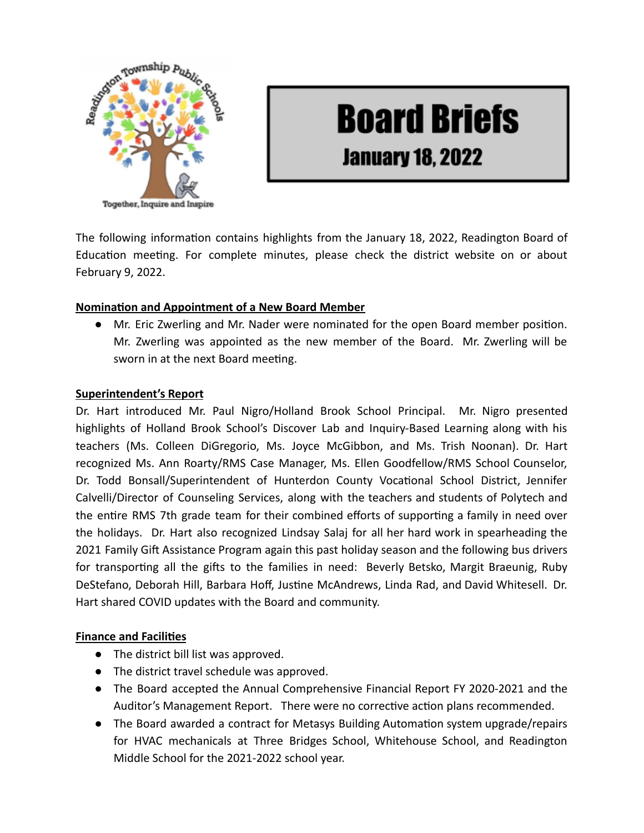

# **Board Briefs January 18, 2022**

The following information contains highlights from the January 18, 2022, Readington Board of Education meeting. For complete minutes, please check the district website on or about February 9, 2022.

## **Nomination and Appointment of a New Board Member**

● Mr. Eric Zwerling and Mr. Nader were nominated for the open Board member posion. Mr. Zwerling was appointed as the new member of the Board. Mr. Zwerling will be sworn in at the next Board meeting.

## **Superintendent's Report**

Dr. Hart introduced Mr. Paul Nigro/Holland Brook School Principal. Mr. Nigro presented highlights of Holland Brook School's Discover Lab and Inquiry-Based Learning along with his teachers (Ms. Colleen DiGregorio, Ms. Joyce McGibbon, and Ms. Trish Noonan). Dr. Hart recognized Ms. Ann Roarty/RMS Case Manager, Ms. Ellen Goodfellow/RMS School Counselor, Dr. Todd Bonsall/Superintendent of Hunterdon County Vocational School District, Jennifer Calvelli/Director of Counseling Services, along with the teachers and students of Polytech and the entire RMS 7th grade team for their combined efforts of supporting a family in need over the holidays. Dr. Hart also recognized Lindsay Salaj for all her hard work in spearheading the 2021 Family Gift Assistance Program again this past holiday season and the following bus drivers for transporting all the gifts to the families in need: Beverly Betsko, Margit Braeunig, Ruby DeStefano, Deborah Hill, Barbara Hoff, Justine McAndrews, Linda Rad, and David Whitesell. Dr. Hart shared COVID updates with the Board and community.

#### **Finance and Facilities**

- The district bill list was approved.
- The district travel schedule was approved.
- The Board accepted the Annual Comprehensive Financial Report FY 2020-2021 and the Auditor's Management Report. There were no corrective action plans recommended.
- The Board awarded a contract for Metasys Building Automation system upgrade/repairs for HVAC mechanicals at Three Bridges School, Whitehouse School, and Readington Middle School for the 2021-2022 school year.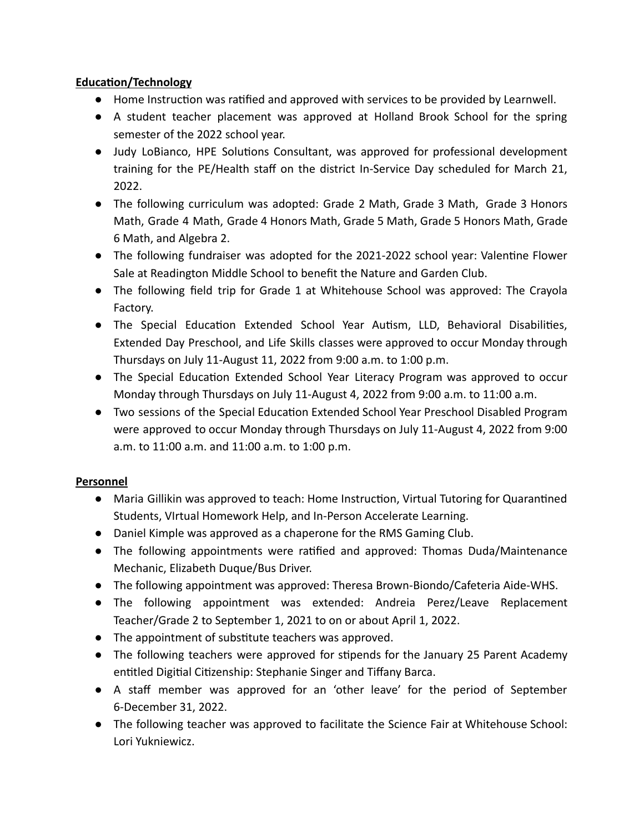## **Education/Technology**

- $\bullet$  Home Instruction was ratified and approved with services to be provided by Learnwell.
- A student teacher placement was approved at Holland Brook School for the spring semester of the 2022 school year.
- Judy LoBianco, HPE Solutions Consultant, was approved for professional development training for the PE/Health staff on the district In-Service Day scheduled for March 21, 2022.
- The following curriculum was adopted: Grade 2 Math, Grade 3 Math, Grade 3 Honors Math, Grade 4 Math, Grade 4 Honors Math, Grade 5 Math, Grade 5 Honors Math, Grade 6 Math, and Algebra 2.
- The following fundraiser was adopted for the 2021-2022 school year: Valentine Flower Sale at Readington Middle School to benefit the Nature and Garden Club.
- The following field trip for Grade 1 at Whitehouse School was approved: The Crayola Factory.
- The Special Education Extended School Year Autism, LLD, Behavioral Disabilities, Extended Day Preschool, and Life Skills classes were approved to occur Monday through Thursdays on July 11-August 11, 2022 from 9:00 a.m. to 1:00 p.m.
- The Special Education Extended School Year Literacy Program was approved to occur Monday through Thursdays on July 11-August 4, 2022 from 9:00 a.m. to 11:00 a.m.
- Two sessions of the Special Education Extended School Year Preschool Disabled Program were approved to occur Monday through Thursdays on July 11-August 4, 2022 from 9:00 a.m. to 11:00 a.m. and 11:00 a.m. to 1:00 p.m.

## **Personnel**

- Maria Gillikin was approved to teach: Home Instruction, Virtual Tutoring for Quarantined Students, VIrtual Homework Help, and In-Person Accelerate Learning.
- Daniel Kimple was approved as a chaperone for the RMS Gaming Club.
- The following appointments were rafied and approved: Thomas Duda/Maintenance Mechanic, Elizabeth Duque/Bus Driver.
- The following appointment was approved: Theresa Brown-Biondo/Cafeteria Aide-WHS.
- The following appointment was extended: Andreia Perez/Leave Replacement Teacher/Grade 2 to September 1, 2021 to on or about April 1, 2022.
- The appointment of substute teachers was approved.
- The following teachers were approved for stipends for the January 25 Parent Academy entitled Digitial Citizenship: Stephanie Singer and Tiffany Barca.
- A staff member was approved for an 'other leave' for the period of September 6-December 31, 2022.
- The following teacher was approved to facilitate the Science Fair at Whitehouse School: Lori Yukniewicz.